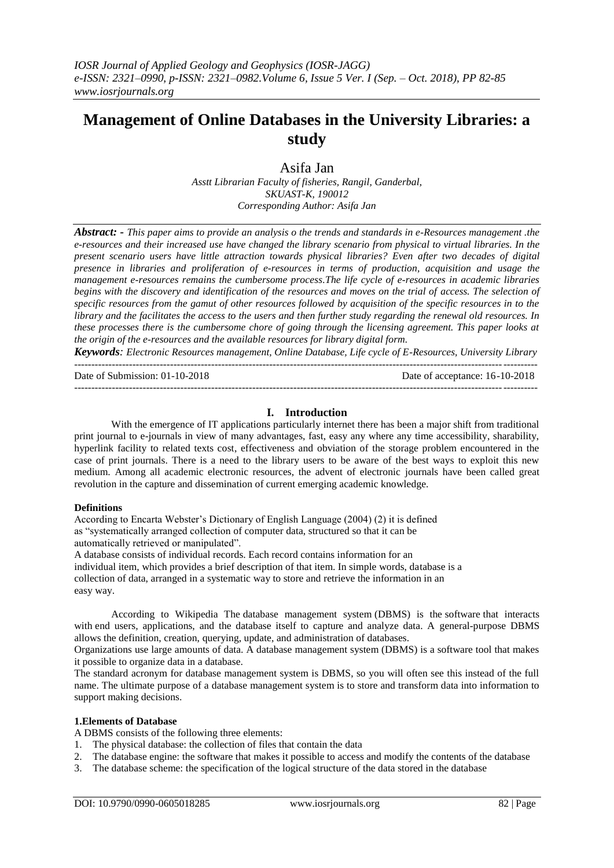# **Management of Online Databases in the University Libraries: a study**

Asifa Jan

*Asstt Librarian Faculty of fisheries, Rangil, Ganderbal, SKUAST-K, 190012 Corresponding Author: Asifa Jan*

*Abstract: - This paper aims to provide an analysis o the trends and standards in e-Resources management .the e-resources and their increased use have changed the library scenario from physical to virtual libraries. In the present scenario users have little attraction towards physical libraries? Even after two decades of digital presence in libraries and proliferation of e-resources in terms of production, acquisition and usage the management e-resources remains the cumbersome process.The life cycle of e-resources in academic libraries begins with the discovery and identification of the resources and moves on the trial of access. The selection of specific resources from the gamut of other resources followed by acquisition of the specific resources in to the library and the facilitates the access to the users and then further study regarding the renewal old resources. In these processes there is the cumbersome chore of going through the licensing agreement. This paper looks at the origin of the e-resources and the available resources for library digital form.*

*Keywords: Electronic Resources management, Online Database, Life cycle of E-Resources, University Library* ---------------------------------------------------------------------------------------------------------------------------------------

Date of Submission: 01-10-2018 Date of acceptance: 16-10-2018

--------------------------------------------------------------------------------------------------------------------------------------*-*

## **I. Introduction**

With the emergence of IT applications particularly internet there has been a major shift from traditional print journal to e-journals in view of many advantages, fast, easy any where any time accessibility, sharability, hyperlink facility to related texts cost, effectiveness and obviation of the storage problem encountered in the case of print journals. There is a need to the library users to be aware of the best ways to exploit this new medium. Among all academic electronic resources, the advent of electronic journals have been called great revolution in the capture and dissemination of current emerging academic knowledge.

#### **Definitions**

According to Encarta Webster's Dictionary of English Language (2004) (2) it is defined as "systematically arranged collection of computer data, structured so that it can be automatically retrieved or manipulated". A database consists of individual records. Each record contains information for an

individual item, which provides a brief description of that item. In simple words, database is a collection of data, arranged in a systematic way to store and retrieve the information in an easy way.

According to Wikipedia The [database management system](https://en.wikipedia.org/wiki/Database#Database_management_system) (DBMS) is the [software](https://en.wikipedia.org/wiki/Software) that interacts with [end users,](https://en.wikipedia.org/wiki/End_user) applications, and the database itself to capture and analyze data. A general-purpose DBMS allows the definition, creation, querying, update, and administration of databases.

Organizations use large amounts of data. A database management system (DBMS) is a software tool that makes it possible to organize data in a database.

The standard acronym for database management system is DBMS, so you will often see this instead of the full name. The ultimate purpose of a database management system is to store and transform data into information to support making decisions.

#### **1.Elements of Database**

A DBMS consists of the following three elements:

- 1. The physical database: the collection of files that contain the data
- 2. The database engine: the software that makes it possible to access and modify the contents of the database
- 3. The database scheme: the specification of the logical structure of the data stored in the database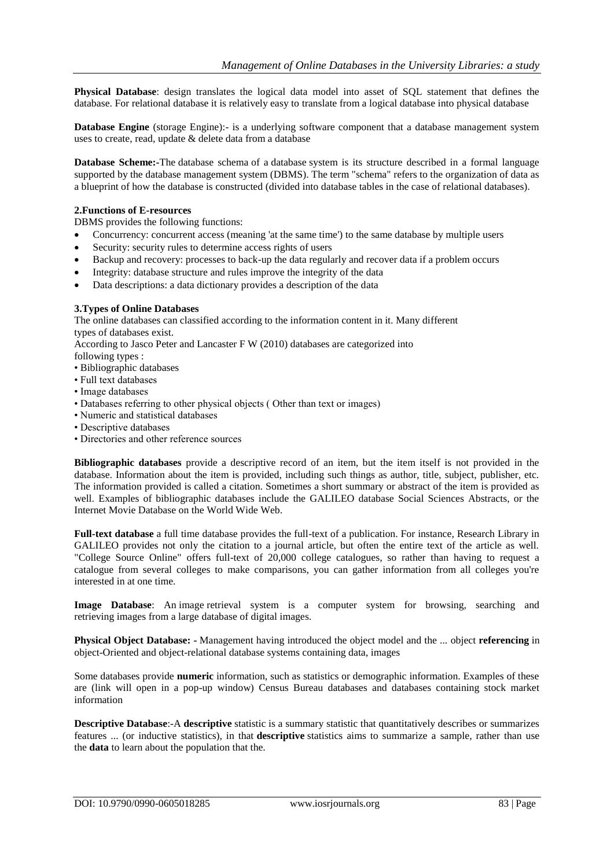**Physical Database**: design translates the logical data model into asset of SQL statement that defines the database. For relational database it is relatively easy to translate from a logical database into physical database

**Database Engine** (storage Engine):- is a underlying software component that a database management system uses to create, read, update & delete data from a database

**Database Scheme:-**The database schema of a database system is its structure described in a formal language supported by the database management system (DBMS). The term "schema" refers to the organization of data as a blueprint of how the database is constructed (divided into database tables in the case of relational databases).

#### **2.Functions of E-resources**

DBMS provides the following functions:

- Concurrency: concurrent access (meaning 'at the same time') to the same database by multiple users
- Security: security rules to determine access rights of users
- Backup and recovery: processes to back-up the data regularly and recover data if a problem occurs
- Integrity: database structure and rules improve the integrity of the data
- Data descriptions: a data dictionary provides a description of the data

### **3.Types of Online Databases**

The online databases can classified according to the information content in it. Many different types of databases exist.

According to Jasco Peter and Lancaster F W (2010) databases are categorized into

following types :

- Bibliographic databases
- Full text databases
- Image databases
- Databases referring to other physical objects ( Other than text or images)
- Numeric and statistical databases
- Descriptive databases
- Directories and other reference sources

**Bibliographic databases** provide a descriptive record of an item, but the item itself is not provided in the database. Information about the item is provided, including such things as author, title, subject, publisher, etc. The information provided is called a citation. Sometimes a short summary or abstract of the item is provided as well. Examples of bibliographic databases include the GALILEO database Social Sciences Abstracts, or the Internet Movie Database on the World Wide Web.

**Full-text database** a full time database provides the full-text of a publication. For instance, Research Library in GALILEO provides not only the citation to a journal article, but often the entire text of the article as well. "College Source Online" offers full-text of 20,000 college catalogues, so rather than having to request a catalogue from several colleges to make comparisons, you can gather information from all colleges you're interested in at one time.

**Image Database**: An image retrieval system is a computer system for browsing, searching and retrieving images from a large database of digital images.

**Physical Object Database: -** Management having introduced the object model and the ... object **referencing** in object-Oriented and object-relational database systems containing data, images

Some databases provide **numeric** information, such as statistics or demographic information. Examples of these are (link will open in a pop-up window) [Census Bureau databases](http://factfinder.census.gov/servlet/BasicFactsServlet) and databases containing stock market information

**Descriptive Database:-A descriptive** statistic is a summary statistic that quantitatively describes or summarizes features ... (or inductive statistics), in that **descriptive** statistics aims to summarize a sample, rather than use the **data** to learn about the population that the.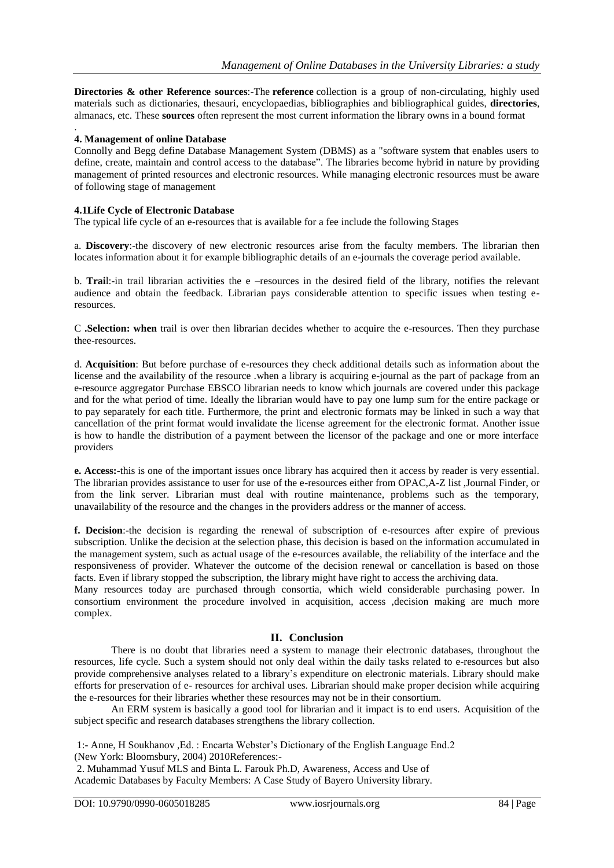**Directories & other Reference sources:**-The **reference** collection is a group of non-circulating, highly used materials such as dictionaries, thesauri, encyclopaedias, bibliographies and bibliographical guides, **directories**, almanacs, etc. These **sources** often represent the most current information the library owns in a bound format

#### . **4. Management of online Database**

Connolly and Begg define Database Management System (DBMS) as a "software system that enables users to define, create, maintain and control access to the database". The libraries become hybrid in nature by providing management of printed resources and electronic resources. While managing electronic resources must be aware of following stage of management

#### **4.1Life Cycle of Electronic Database**

The typical life cycle of an e-resources that is available for a fee include the following Stages

a. **Discovery**:-the discovery of new electronic resources arise from the faculty members. The librarian then locates information about it for example bibliographic details of an e-journals the coverage period available.

b. **Trai**l:-in trail librarian activities the e –resources in the desired field of the library, notifies the relevant audience and obtain the feedback. Librarian pays considerable attention to specific issues when testing eresources.

C **.Selection: when** trail is over then librarian decides whether to acquire the e-resources. Then they purchase thee-resources.

d. **Acquisition**: But before purchase of e-resources they check additional details such as information about the license and the availability of the resource .when a library is acquiring e-journal as the part of package from an e-resource aggregator Purchase EBSCO librarian needs to know which journals are covered under this package and for the what period of time. Ideally the librarian would have to pay one lump sum for the entire package or to pay separately for each title. Furthermore, the print and electronic formats may be linked in such a way that cancellation of the print format would invalidate the license agreement for the electronic format. Another issue is how to handle the distribution of a payment between the licensor of the package and one or more interface providers

**e. Access:-**this is one of the important issues once library has acquired then it access by reader is very essential. The librarian provides assistance to user for use of the e-resources either from OPAC,A-Z list ,Journal Finder, or from the link server. Librarian must deal with routine maintenance, problems such as the temporary, unavailability of the resource and the changes in the providers address or the manner of access.

**f. Decision**:-the decision is regarding the renewal of subscription of e-resources after expire of previous subscription. Unlike the decision at the selection phase, this decision is based on the information accumulated in the management system, such as actual usage of the e-resources available, the reliability of the interface and the responsiveness of provider. Whatever the outcome of the decision renewal or cancellation is based on those facts. Even if library stopped the subscription, the library might have right to access the archiving data.

Many resources today are purchased through consortia, which wield considerable purchasing power. In consortium environment the procedure involved in acquisition, access ,decision making are much more complex.

### **II. Conclusion**

There is no doubt that libraries need a system to manage their electronic databases, throughout the resources, life cycle. Such a system should not only deal within the daily tasks related to e-resources but also provide comprehensive analyses related to a library's expenditure on electronic materials. Library should make efforts for preservation of e- resources for archival uses. Librarian should make proper decision while acquiring the e-resources for their libraries whether these resources may not be in their consortium.

An ERM system is basically a good tool for librarian and it impact is to end users. Acquisition of the subject specific and research databases strengthens the library collection.

1:- Anne, H Soukhanov ,Ed. : Encarta Webster's Dictionary of the English Language End.2 (New York: Bloomsbury, 2004) 2010References:-

2. Muhammad Yusuf MLS and Binta L. Farouk Ph.D, Awareness, Access and Use of Academic Databases by Faculty Members: A Case Study of Bayero University library.